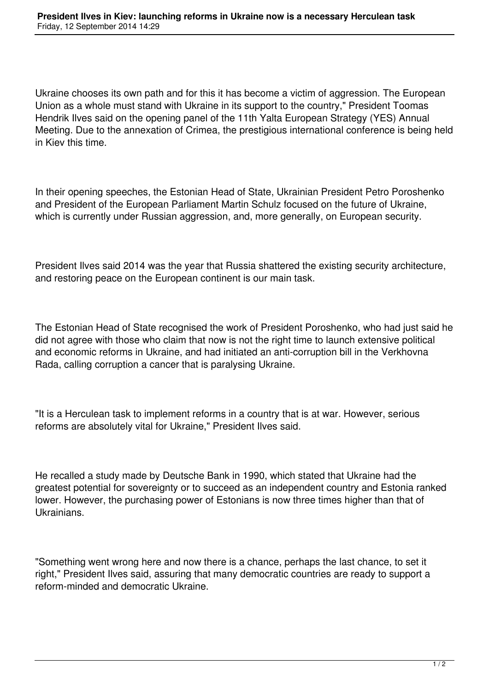Ukraine chooses its own path and for this it has become a victim of aggression. The European Union as a whole must stand with Ukraine in its support to the country," President Toomas Hendrik Ilves said on the opening panel of the 11th Yalta European Strategy (YES) Annual Meeting. Due to the annexation of Crimea, the prestigious international conference is being held in Kiev this time.

In their opening speeches, the Estonian Head of State, Ukrainian President Petro Poroshenko and President of the European Parliament Martin Schulz focused on the future of Ukraine, which is currently under Russian aggression, and, more generally, on European security.

President Ilves said 2014 was the year that Russia shattered the existing security architecture, and restoring peace on the European continent is our main task.

The Estonian Head of State recognised the work of President Poroshenko, who had just said he did not agree with those who claim that now is not the right time to launch extensive political and economic reforms in Ukraine, and had initiated an anti-corruption bill in the Verkhovna Rada, calling corruption a cancer that is paralysing Ukraine.

"It is a Herculean task to implement reforms in a country that is at war. However, serious reforms are absolutely vital for Ukraine," President Ilves said.

He recalled a study made by Deutsche Bank in 1990, which stated that Ukraine had the greatest potential for sovereignty or to succeed as an independent country and Estonia ranked lower. However, the purchasing power of Estonians is now three times higher than that of Ukrainians.

"Something went wrong here and now there is a chance, perhaps the last chance, to set it right," President Ilves said, assuring that many democratic countries are ready to support a reform-minded and democratic Ukraine.